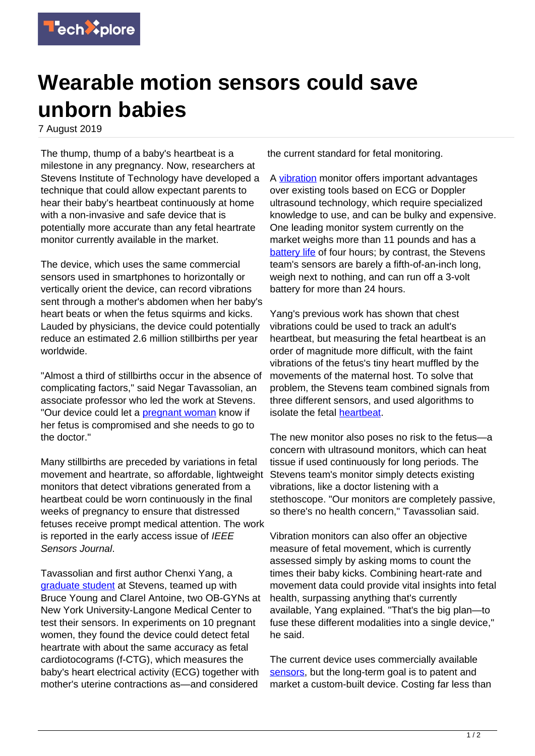

## **Wearable motion sensors could save unborn babies**

7 August 2019

The thump, thump of a baby's heartbeat is a milestone in any pregnancy. Now, researchers at Stevens Institute of Technology have developed a technique that could allow expectant parents to hear their baby's heartbeat continuously at home with a non-invasive and safe device that is potentially more accurate than any fetal heartrate monitor currently available in the market.

The device, which uses the same commercial sensors used in smartphones to horizontally or vertically orient the device, can record vibrations sent through a mother's abdomen when her baby's heart beats or when the fetus squirms and kicks. Lauded by physicians, the device could potentially reduce an estimated 2.6 million stillbirths per year worldwide.

"Almost a third of stillbirths occur in the absence of complicating factors," said Negar Tavassolian, an associate professor who led the work at Stevens. "Our device could let a **[pregnant woman](https://techxplore.com/tags/pregnant+woman/) know if** her fetus is compromised and she needs to go to the doctor."

Many stillbirths are preceded by variations in fetal movement and heartrate, so affordable, lightweight monitors that detect vibrations generated from a heartbeat could be worn continuously in the final weeks of pregnancy to ensure that distressed fetuses receive prompt medical attention. The work is reported in the early access issue of IEEE Sensors Journal.

Tavassolian and first author Chenxi Yang, a [graduate student](https://techxplore.com/tags/graduate+student/) at Stevens, teamed up with Bruce Young and Clarel Antoine, two OB-GYNs at New York University-Langone Medical Center to test their sensors. In experiments on 10 pregnant women, they found the device could detect fetal heartrate with about the same accuracy as fetal cardiotocograms (f-CTG), which measures the baby's heart electrical activity (ECG) together with mother's uterine contractions as—and considered

the current standard for fetal monitoring.

A [vibration](https://techxplore.com/tags/vibration/) monitor offers important advantages over existing tools based on ECG or Doppler ultrasound technology, which require specialized knowledge to use, and can be bulky and expensive. One leading monitor system currently on the market weighs more than 11 pounds and has a [battery life](https://techxplore.com/tags/battery+life/) of four hours; by contrast, the Stevens team's sensors are barely a fifth-of-an-inch long, weigh next to nothing, and can run off a 3-volt battery for more than 24 hours.

Yang's previous work has shown that chest vibrations could be used to track an adult's heartbeat, but measuring the fetal heartbeat is an order of magnitude more difficult, with the faint vibrations of the fetus's tiny heart muffled by the movements of the maternal host. To solve that problem, the Stevens team combined signals from three different sensors, and used algorithms to isolate the fetal [heartbeat.](https://techxplore.com/tags/heartbeat/)

The new monitor also poses no risk to the fetus—a concern with ultrasound monitors, which can heat tissue if used continuously for long periods. The Stevens team's monitor simply detects existing vibrations, like a doctor listening with a stethoscope. "Our monitors are completely passive, so there's no health concern," Tavassolian said.

Vibration monitors can also offer an objective measure of fetal movement, which is currently assessed simply by asking moms to count the times their baby kicks. Combining heart-rate and movement data could provide vital insights into fetal health, surpassing anything that's currently available, Yang explained. "That's the big plan—to fuse these different modalities into a single device," he said.

The current device uses commercially available [sensors,](https://techxplore.com/tags/sensors/) but the long-term goal is to patent and market a custom-built device. Costing far less than